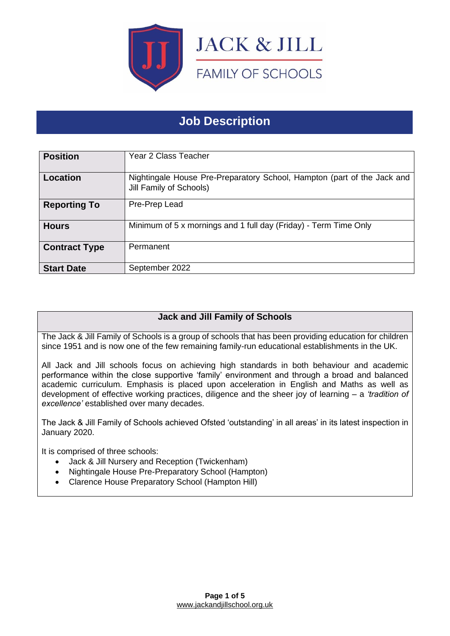

# **Job Description**

| <b>Position</b>      | Year 2 Class Teacher                                                                               |
|----------------------|----------------------------------------------------------------------------------------------------|
| <b>Location</b>      | Nightingale House Pre-Preparatory School, Hampton (part of the Jack and<br>Jill Family of Schools) |
| <b>Reporting To</b>  | Pre-Prep Lead                                                                                      |
| <b>Hours</b>         | Minimum of 5 x mornings and 1 full day (Friday) - Term Time Only                                   |
| <b>Contract Type</b> | Permanent                                                                                          |
| <b>Start Date</b>    | September 2022                                                                                     |

## **Jack and Jill Family of Schools**

The Jack & Jill Family of Schools is a group of schools that has been providing education for children since 1951 and is now one of the few remaining family-run educational establishments in the UK.

All Jack and Jill schools focus on achieving high standards in both behaviour and academic performance within the close supportive 'family' environment and through a broad and balanced academic curriculum. Emphasis is placed upon acceleration in English and Maths as well as development of effective working practices, diligence and the sheer joy of learning – a *'tradition of excellence'* established over many decades.

The Jack & Jill Family of Schools achieved Ofsted 'outstanding' in all areas' in its latest inspection in January 2020.

It is comprised of three schools:

- Jack & Jill Nursery and Reception (Twickenham)
- Nightingale House Pre-Preparatory School (Hampton)
- Clarence House Preparatory School (Hampton Hill)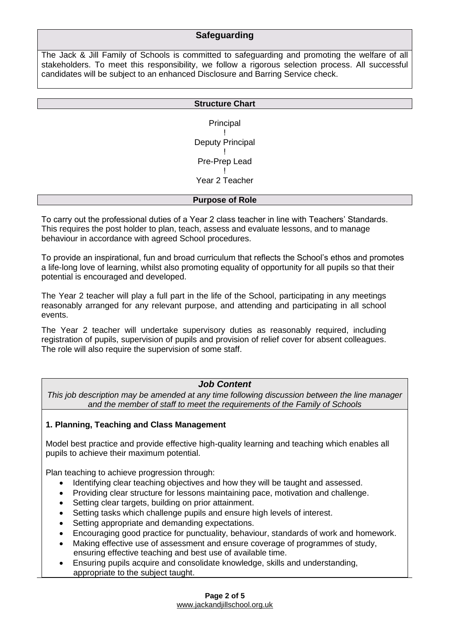#### **Safeguarding**

The Jack & Jill Family of Schools is committed to safeguarding and promoting the welfare of all stakeholders. To meet this responsibility, we follow a rigorous selection process. All successful candidates will be subject to an enhanced Disclosure and Barring Service check.

| <b>Structure Chart</b> |
|------------------------|
|                        |
| Principal              |
|                        |
| Deputy Principal       |
|                        |
| Pre-Prep Lead          |
|                        |
| Year 2 Teacher         |
|                        |
| <b>Purpose of Role</b> |

To carry out the professional duties of a Year 2 class teacher in line with Teachers' Standards. This requires the post holder to plan, teach, assess and evaluate lessons, and to manage behaviour in accordance with agreed School procedures.

To provide an inspirational, fun and broad curriculum that reflects the School's ethos and promotes a life-long love of learning, whilst also promoting equality of opportunity for all pupils so that their potential is encouraged and developed.

The Year 2 teacher will play a full part in the life of the School, participating in any meetings reasonably arranged for any relevant purpose, and attending and participating in all school events.

The Year 2 teacher will undertake supervisory duties as reasonably required, including registration of pupils, supervision of pupils and provision of relief cover for absent colleagues. The role will also require the supervision of some staff.

#### *Job Content*

*This job description may be amended at any time following discussion between the line manager and the member of staff to meet the requirements of the Family of Schools*

#### **1. Planning, Teaching and Class Management**

Model best practice and provide effective high-quality learning and teaching which enables all pupils to achieve their maximum potential.

Plan teaching to achieve progression through:

- Identifying clear teaching objectives and how they will be taught and assessed.
- Providing clear structure for lessons maintaining pace, motivation and challenge.
- Setting clear targets, building on prior attainment.
- Setting tasks which challenge pupils and ensure high levels of interest.
- Setting appropriate and demanding expectations.
- Encouraging good practice for punctuality, behaviour, standards of work and homework.
- Making effective use of assessment and ensure coverage of programmes of study, ensuring effective teaching and best use of available time.
- Ensuring pupils acquire and consolidate knowledge, skills and understanding, appropriate to the subject taught.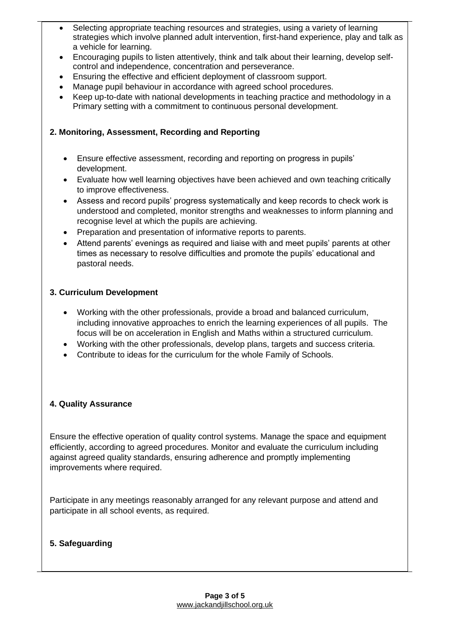- Selecting appropriate teaching resources and strategies, using a variety of learning strategies which involve planned adult intervention, first-hand experience, play and talk as a vehicle for learning.
- Encouraging pupils to listen attentively, think and talk about their learning, develop selfcontrol and independence, concentration and perseverance.
- Ensuring the effective and efficient deployment of classroom support.
- Manage pupil behaviour in accordance with agreed school procedures.
- Keep up-to-date with national developments in teaching practice and methodology in a Primary setting with a commitment to continuous personal development.

### **2. Monitoring, Assessment, Recording and Reporting**

- Ensure effective assessment, recording and reporting on progress in pupils' development.
- Evaluate how well learning objectives have been achieved and own teaching critically to improve effectiveness.
- Assess and record pupils' progress systematically and keep records to check work is understood and completed, monitor strengths and weaknesses to inform planning and recognise level at which the pupils are achieving.
- Preparation and presentation of informative reports to parents.
- Attend parents' evenings as required and liaise with and meet pupils' parents at other times as necessary to resolve difficulties and promote the pupils' educational and pastoral needs.

### **3. Curriculum Development**

- Working with the other professionals, provide a broad and balanced curriculum, including innovative approaches to enrich the learning experiences of all pupils. The focus will be on acceleration in English and Maths within a structured curriculum.
- Working with the other professionals, develop plans, targets and success criteria.
- Contribute to ideas for the curriculum for the whole Family of Schools.

#### **4. Quality Assurance**

Ensure the effective operation of quality control systems. Manage the space and equipment efficiently, according to agreed procedures. Monitor and evaluate the curriculum including against agreed quality standards, ensuring adherence and promptly implementing improvements where required.

Participate in any meetings reasonably arranged for any relevant purpose and attend and participate in all school events, as required.

#### **5. Safeguarding**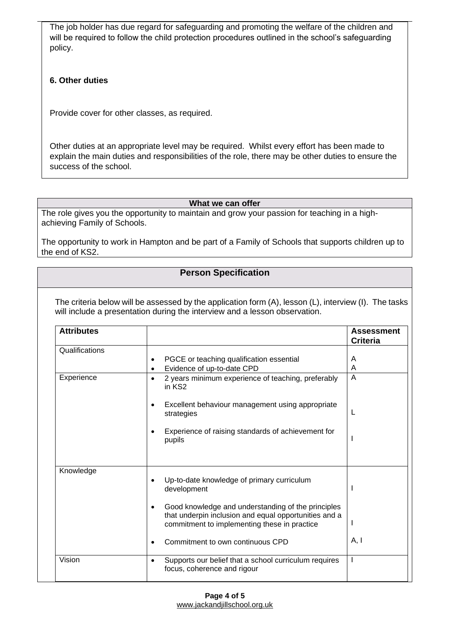The job holder has due regard for safeguarding and promoting the welfare of the children and will be required to follow the child protection procedures outlined in the school's safeguarding policy.

### **6. Other duties**

Provide cover for other classes, as required.

Other duties at an appropriate level may be required. Whilst every effort has been made to explain the main duties and responsibilities of the role, there may be other duties to ensure the success of the school.

#### **What we can offer**

The role gives you the opportunity to maintain and grow your passion for teaching in a highachieving Family of Schools.

The opportunity to work in Hampton and be part of a Family of Schools that supports children up to the end of KS2.

## **Person Specification**

The criteria below will be assessed by the application form (A), lesson (L), interview (I). The tasks will include a presentation during the interview and a lesson observation.

| <b>Attributes</b> |                                                                                                                                                                          | <b>Assessment</b><br><b>Criteria</b> |
|-------------------|--------------------------------------------------------------------------------------------------------------------------------------------------------------------------|--------------------------------------|
| Qualifications    | PGCE or teaching qualification essential<br>٠<br>Evidence of up-to-date CPD                                                                                              | A<br>A                               |
| Experience        | 2 years minimum experience of teaching, preferably<br>$\bullet$<br>in KS2                                                                                                | A                                    |
|                   | Excellent behaviour management using appropriate<br>strategies                                                                                                           |                                      |
|                   | Experience of raising standards of achievement for<br>pupils                                                                                                             |                                      |
| Knowledge         | Up-to-date knowledge of primary curriculum<br>development                                                                                                                |                                      |
|                   | Good knowledge and understanding of the principles<br>$\bullet$<br>that underpin inclusion and equal opportunities and a<br>commitment to implementing these in practice |                                      |
|                   | Commitment to own continuous CPD                                                                                                                                         | A, I                                 |
| Vision            | Supports our belief that a school curriculum requires<br>$\bullet$<br>focus, coherence and rigour                                                                        |                                      |